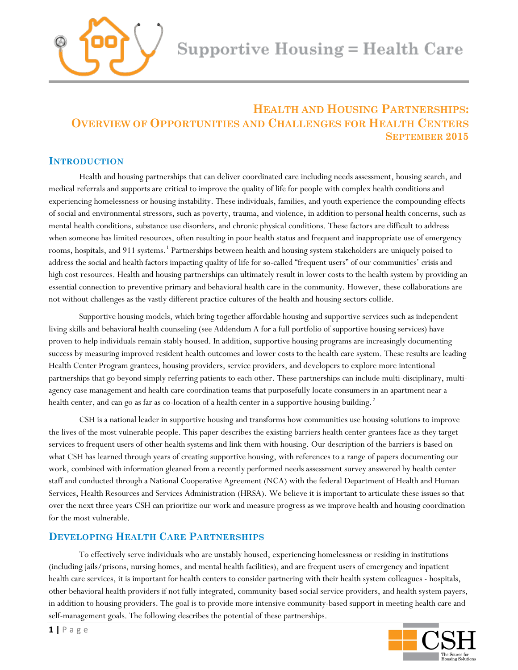

# **HEALTH AND HOUSING PARTNERSHIPS: OVERVIEW OF OPPORTUNITIES AND CHALLENGES FOR HEALTH CENTERS SEPTEMBER 2015**

# **INTRODUCTION**

Health and housing partnerships that can deliver coordinated care including needs assessment, housing search, and medical referrals and supports are critical to improve the quality of life for people with complex health conditions and experiencing homelessness or housing instability. These individuals, families, and youth experience the compounding effects of social and environmental stressors, such as poverty, trauma, and violence, in addition to personal health concerns, such as mental health conditions, substance use disorders, and chronic physical conditions. These factors are difficult to address when someone has limited resources, often resulting in poor health status and frequent and inappropriate use of emergency rooms, hospitals, and 911 systems. [1](#page-9-0) Partnerships between health and housing system stakeholders are uniquely poised to address the social and health factors impacting quality of life for so-called "frequent users" of our communities' crisis and high cost resources. Health and housing partnerships can ultimately result in lower costs to the health system by providing an essential connection to preventive primary and behavioral health care in the community. However, these collaborations are not without challenges as the vastly different practice cultures of the health and housing sectors collide.

Supportive housing models, which bring together affordable housing and supportive services such as independent living skills and behavioral health counseling (see Addendum A for a full portfolio of supportive housing services) have proven to help individuals remain stably housed. In addition, supportive housing programs are increasingly documenting success by measuring improved resident health outcomes and lower costs to the health care system. These results are leading Health Center Program grantees, housing providers, service providers, and developers to explore more intentional partnerships that go beyond simply referring patients to each other. These partnerships can include multi-disciplinary, multiagency case management and health care coordination teams that purposefully locate consumers in an apartment near a health center, and can go as far as co-location of a health center in a supportive housing building.<sup>[2](#page-9-1)</sup>

CSH is a national leader in supportive housing and transforms how communities use housing solutions to improve the lives of the most vulnerable people. This paper describes the existing barriers health center grantees face as they target services to frequent users of other health systems and link them with housing. Our description of the barriers is based on what CSH has learned through years of creating supportive housing, with references to a range of papers documenting our work, combined with information gleaned from a recently performed needs assessment survey answered by health center staff and conducted through a National Cooperative Agreement (NCA) with the federal Department of Health and Human Services, Health Resources and Services Administration (HRSA). We believe it is important to articulate these issues so that over the next three years CSH can prioritize our work and measure progress as we improve health and housing coordination for the most vulnerable.

# **DEVELOPING HEALTH CARE PARTNERSHIPS**

To effectively serve individuals who are unstably housed, experiencing homelessness or residing in institutions (including jails/prisons, nursing homes, and mental health facilities), and are frequent users of emergency and inpatient health care services, it is important for health centers to consider partnering with their health system colleagues - hospitals, other behavioral health providers if not fully integrated, community-based social service providers, and health system payers, in addition to housing providers. The goal is to provide more intensive community-based support in meeting health care and self-management goals. The following describes the potential of these partnerships.

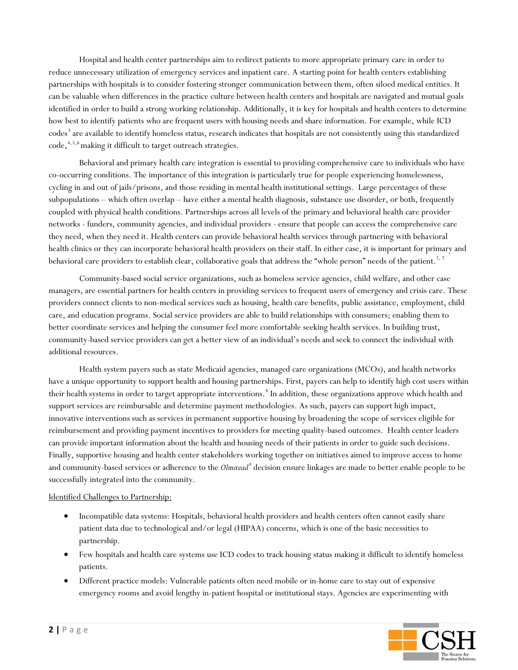Hospital and health center partnerships aim to redirect patients to more appropriate primary care in order to reduce unnecessary utilization of emergency services and inpatient care. A starting point for health centers establishing partnerships with hospitals is to consider fostering stronger communication between them, often siloed medical entities. It can be valuable when differences in the practice culture between health centers and hospitals are navigated and mutual goals identified in order to build a strong working relationship. Additionally, it is key for hospitals and health centers to determine how best to identify patients who are frequent users with housing needs and share information. For example, while ICD codes<sup>[3](#page-9-2)</sup> are available to identify homeless status, research indicates that hospitals are not consistently using this standardized code, [4](#page-9-3),[5,](#page-9-4)[6](#page-9-5) making it difficult to target outreach strategies.

Behavioral and primary health care integration is essential to providing comprehensive care to individuals who have co-occurring conditions. The importance of this integration is particularly true for people experiencing homelessness, cycling in and out of jails/prisons, and those residing in mental health institutional settings. Large percentages of these subpopulations – which often overlap – have either a mental health diagnosis, substance use disorder, or both, frequently coupled with physical health conditions. Partnerships across all levels of the primary and behavioral health care provider networks - funders, community agencies, and individual providers - ensure that people can access the comprehensive care they need, when they need it. Health centers can provide behavioral health services through partnering with behavioral health clinics or they can incorporate behavioral health providers on their staff. In either case, it is important for primary and behavioral care providers to establish clear, collaborative goals that address the "whole person" needs of the patient.<sup>2, [7](#page-9-6)</sup>

Community-based social service organizations, such as homeless service agencies, child welfare, and other case managers, are essential partners for health centers in providing services to frequent users of emergency and crisis care. These providers connect clients to non-medical services such as housing, health care benefits, public assistance, employment, child care, and education programs. Social service providers are able to build relationships with consumers; enabling them to better coordinate services and helping the consumer feel more comfortable seeking health services. In building trust, community-based service providers can get a better view of an individual's needs and seek to connect the individual with additional resources.

Health system payers such as state Medicaid agencies, managed care organizations (MCOs), and health networks have a unique opportunity to support health and housing partnerships. First, payers can help to identify high cost users within their health systems in order to target appropriate interventions.  $^8$  $^8$  In addition, these organizations approve which health and support services are reimbursable and determine payment methodologies. As such, payers can support high impact, innovative interventions such as services in permanent supportive housing by broadening the scope of services eligible for reimbursement and providing payment incentives to providers for meeting quality-based outcomes. Health center leaders can provide important information about the health and housing needs of their patients in order to guide such decisions. Finally, supportive housing and health center stakeholders working together on initiatives aimed to improve access to home and community-based services or adherence to the *Olmstead[9](#page-9-8)* decision ensure linkages are made to better enable people to be successfully integrated into the community.

#### Identified Challenges to Partnership:

- Incompatible data systems: Hospitals, behavioral health providers and health centers often cannot easily share patient data due to technological and/or legal (HIPAA) concerns, which is one of the basic necessities to partnership.
- Few hospitals and health care systems use ICD codes to track housing status making it difficult to identify homeless patients.
- Different practice models: Vulnerable patients often need mobile or in-home care to stay out of expensive emergency rooms and avoid lengthy in-patient hospital or institutional stays. Agencies are experimenting with

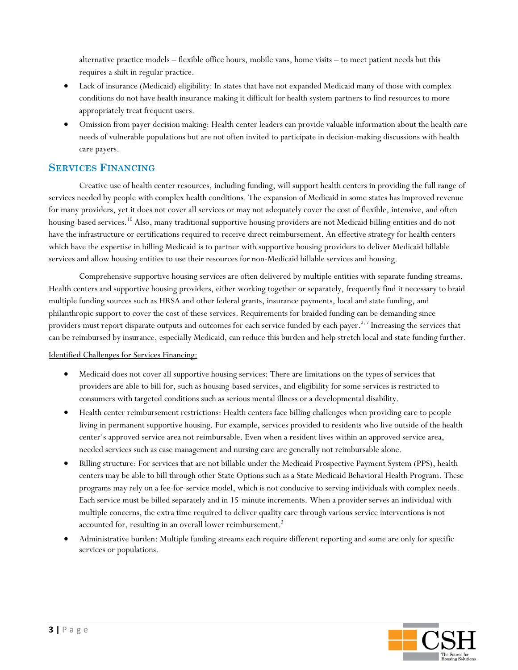alternative practice models – flexible office hours, mobile vans, home visits – to meet patient needs but this requires a shift in regular practice.

- Lack of insurance (Medicaid) eligibility: In states that have not expanded Medicaid many of those with complex conditions do not have health insurance making it difficult for health system partners to find resources to more appropriately treat frequent users.
- Omission from payer decision making: Health center leaders can provide valuable information about the health care needs of vulnerable populations but are not often invited to participate in decision-making discussions with health care payers.

# **SERVICES FINANCING**

Creative use of health center resources, including funding, will support health centers in providing the full range of services needed by people with complex health conditions. The expansion of Medicaid in some states has improved revenue for many providers, yet it does not cover all services or may not adequately cover the cost of flexible, intensive, and often housing-based services. [10](#page-9-9) Also, many traditional supportive housing providers are not Medicaid billing entities and do not have the infrastructure or certifications required to receive direct reimbursement. An effective strategy for health centers which have the expertise in billing Medicaid is to partner with supportive housing providers to deliver Medicaid billable services and allow housing entities to use their resources for non-Medicaid billable services and housing.

Comprehensive supportive housing services are often delivered by multiple entities with separate funding streams. Health centers and supportive housing providers, either working together or separately, frequently find it necessary to braid multiple funding sources such as HRSA and other federal grants, insurance payments, local and state funding, and philanthropic support to cover the cost of these services. Requirements for braided funding can be demanding since providers must report disparate outputs and outcomes for each service funded by each payer.<sup>2,7</sup> Increasing the services that can be reimbursed by insurance, especially Medicaid, can reduce this burden and help stretch local and state funding further.

#### Identified Challenges for Services Financing:

- Medicaid does not cover all supportive housing services: There are limitations on the types of services that providers are able to bill for, such as housing-based services, and eligibility for some services is restricted to consumers with targeted conditions such as serious mental illness or a developmental disability.
- Health center reimbursement restrictions: Health centers face billing challenges when providing care to people living in permanent supportive housing. For example, services provided to residents who live outside of the health center's approved service area not reimbursable. Even when a resident lives within an approved service area, needed services such as case management and nursing care are generally not reimbursable alone.
- Billing structure: For services that are not billable under the Medicaid Prospective Payment System (PPS), health centers may be able to bill through other State Options such as a State Medicaid Behavioral Health Program. These programs may rely on a fee-for-service model, which is not conducive to serving individuals with complex needs. Each service must be billed separately and in 15-minute increments. When a provider serves an individual with multiple concerns, the extra time required to deliver quality care through various service interventions is not accounted for, resulting in an overall lower reimbursement.<sup>2</sup>
- Administrative burden: Multiple funding streams each require different reporting and some are only for specific services or populations.

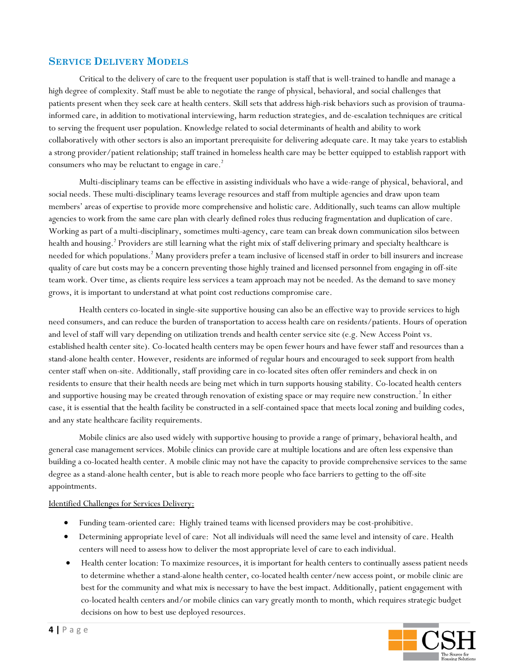# **SERVICE DELIVERY MODELS**

Critical to the delivery of care to the frequent user population is staff that is well-trained to handle and manage a high degree of complexity. Staff must be able to negotiate the range of physical, behavioral, and social challenges that patients present when they seek care at health centers. Skill sets that address high-risk behaviors such as provision of traumainformed care, in addition to motivational interviewing, harm reduction strategies, and de-escalation techniques are critical to serving the frequent user population. Knowledge related to social determinants of health and ability to work collaboratively with other sectors is also an important prerequisite for delivering adequate care. It may take years to establish a strong provider/patient relationship; staff trained in homeless health care may be better equipped to establish rapport with consumers who may be reluctant to engage in care.<sup>2</sup>

Multi-disciplinary teams can be effective in assisting individuals who have a wide-range of physical, behavioral, and social needs. These multi-disciplinary teams leverage resources and staff from multiple agencies and draw upon team members' areas of expertise to provide more comprehensive and holistic care. Additionally, such teams can allow multiple agencies to work from the same care plan with clearly defined roles thus reducing fragmentation and duplication of care. Working as part of a multi-disciplinary, sometimes multi-agency, care team can break down communication silos between health and housing. <sup>2</sup> Providers are still learning what the right mix of staff delivering primary and specialty healthcare is needed for which populations.<sup>2</sup> Many providers prefer a team inclusive of licensed staff in order to bill insurers and increase quality of care but costs may be a concern preventing those highly trained and licensed personnel from engaging in off-site team work. Over time, as clients require less services a team approach may not be needed. As the demand to save money grows, it is important to understand at what point cost reductions compromise care.

Health centers co-located in single-site supportive housing can also be an effective way to provide services to high need consumers, and can reduce the burden of transportation to access health care on residents/patients. Hours of operation and level of staff will vary depending on utilization trends and health center service site (e.g. New Access Point vs. established health center site). Co-located health centers may be open fewer hours and have fewer staff and resources than a stand-alone health center. However, residents are informed of regular hours and encouraged to seek support from health center staff when on-site. Additionally, staff providing care in co-located sites often offer reminders and check in on residents to ensure that their health needs are being met which in turn supports housing stability. Co-located health centers and supportive housing may be created through renovation of existing space or may require new construction.<sup>2</sup> In either case, it is essential that the health facility be constructed in a self-contained space that meets local zoning and building codes, and any state healthcare facility requirements.

Mobile clinics are also used widely with supportive housing to provide a range of primary, behavioral health, and general case management services. Mobile clinics can provide care at multiple locations and are often less expensive than building a co-located health center. A mobile clinic may not have the capacity to provide comprehensive services to the same degree as a stand-alone health center, but is able to reach more people who face barriers to getting to the off-site appointments.

#### Identified Challenges for Services Delivery:

- Funding team-oriented care: Highly trained teams with licensed providers may be cost-prohibitive.
- Determining appropriate level of care: Not all individuals will need the same level and intensity of care. Health centers will need to assess how to deliver the most appropriate level of care to each individual.
- Health center location: To maximize resources, it is important for health centers to continually assess patient needs to determine whether a stand-alone health center, co-located health center/new access point, or mobile clinic are best for the community and what mix is necessary to have the best impact. Additionally, patient engagement with co-located health centers and/or mobile clinics can vary greatly month to month, which requires strategic budget decisions on how to best use deployed resources.

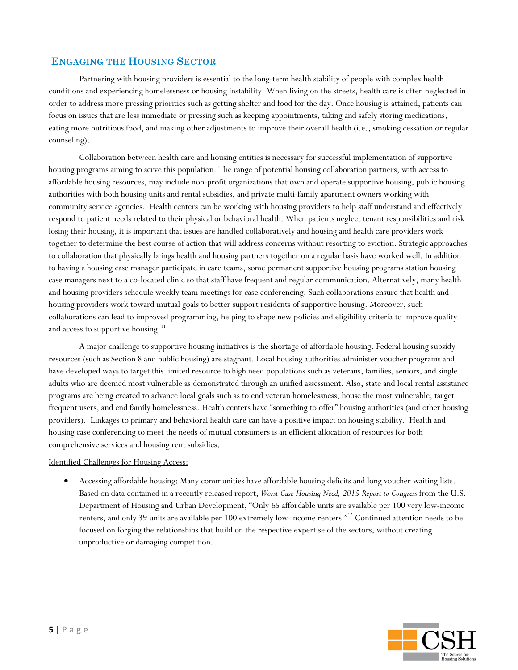## **ENGAGING THE HOUSING SECTOR**

Partnering with housing providers is essential to the long-term health stability of people with complex health conditions and experiencing homelessness or housing instability. When living on the streets, health care is often neglected in order to address more pressing priorities such as getting shelter and food for the day. Once housing is attained, patients can focus on issues that are less immediate or pressing such as keeping appointments, taking and safely storing medications, eating more nutritious food, and making other adjustments to improve their overall health (i.e., smoking cessation or regular counseling).

Collaboration between health care and housing entities is necessary for successful implementation of supportive housing programs aiming to serve this population. The range of potential housing collaboration partners, with access to affordable housing resources, may include non-profit organizations that own and operate supportive housing, public housing authorities with both housing units and rental subsidies, and private multi-family apartment owners working with community service agencies. Health centers can be working with housing providers to help staff understand and effectively respond to patient needs related to their physical or behavioral health. When patients neglect tenant responsibilities and risk losing their housing, it is important that issues are handled collaboratively and housing and health care providers work together to determine the best course of action that will address concerns without resorting to eviction. Strategic approaches to collaboration that physically brings health and housing partners together on a regular basis have worked well. In addition to having a housing case manager participate in care teams, some permanent supportive housing programs station housing case managers next to a co-located clinic so that staff have frequent and regular communication. Alternatively, many health and housing providers schedule weekly team meetings for case conferencing. Such collaborations ensure that health and housing providers work toward mutual goals to better support residents of supportive housing. Moreover, such collaborations can lead to improved programming, helping to shape new policies and eligibility criteria to improve quality and access to supportive housing.<sup>[11](#page-9-10)</sup>

A major challenge to supportive housing initiatives is the shortage of affordable housing. Federal housing subsidy resources (such as Section 8 and public housing) are stagnant. Local housing authorities administer voucher programs and have developed ways to target this limited resource to high need populations such as veterans, families, seniors, and single adults who are deemed most vulnerable as demonstrated through an unified assessment. Also, state and local rental assistance programs are being created to advance local goals such as to end veteran homelessness, house the most vulnerable, target frequent users, and end family homelessness. Health centers have "something to offer" housing authorities (and other housing providers). Linkages to primary and behavioral health care can have a positive impact on housing stability. Health and housing case conferencing to meet the needs of mutual consumers is an efficient allocation of resources for both comprehensive services and housing rent subsidies.

#### Identified Challenges for Housing Access:

• Accessing affordable housing: Many communities have affordable housing deficits and long voucher waiting lists. Based on data contained in a recently released report, *Worst Case Housing Need, 2015 Report to Congress* from the U.S. Department of Housing and Urban Development, "Only 65 affordable units are available per 100 very low-income renters, and only 39 units are available per 100 extremely low-income renters." [12](#page-9-11) Continued attention needs to be focused on forging the relationships that build on the respective expertise of the sectors, without creating unproductive or damaging competition.

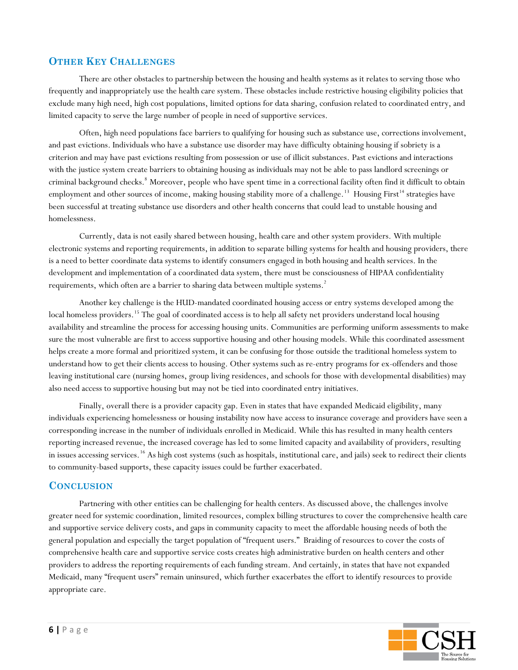# **OTHER KEY CHALLENGES**

There are other obstacles to partnership between the housing and health systems as it relates to serving those who frequently and inappropriately use the health care system. These obstacles include restrictive housing eligibility policies that exclude many high need, high cost populations, limited options for data sharing, confusion related to coordinated entry, and limited capacity to serve the large number of people in need of supportive services.

Often, high need populations face barriers to qualifying for housing such as substance use, corrections involvement, and past evictions. Individuals who have a substance use disorder may have difficulty obtaining housing if sobriety is a criterion and may have past evictions resulting from possession or use of illicit substances. Past evictions and interactions with the justice system create barriers to obtaining housing as individuals may not be able to pass landlord screenings or criminal background checks.<sup>8</sup> Moreover, people who have spent time in a correctional facility often find it difficult to obtain employment and other sources of income, making housing stability more of a challenge.<sup>[13](#page-9-12)</sup> Housing First<sup>[14](#page-9-13)</sup> strategies have been successful at treating substance use disorders and other health concerns that could lead to unstable housing and homelessness.

Currently, data is not easily shared between housing, health care and other system providers. With multiple electronic systems and reporting requirements, in addition to separate billing systems for health and housing providers, there is a need to better coordinate data systems to identify consumers engaged in both housing and health services. In the development and implementation of a coordinated data system, there must be consciousness of HIPAA confidentiality requirements, which often are a barrier to sharing data between multiple systems. $^2$ 

Another key challenge is the HUD-mandated coordinated housing access or entry systems developed among the local homeless providers.<sup>[15](#page-9-14)</sup> The goal of coordinated access is to help all safety net providers understand local housing availability and streamline the process for accessing housing units. Communities are performing uniform assessments to make sure the most vulnerable are first to access supportive housing and other housing models. While this coordinated assessment helps create a more formal and prioritized system, it can be confusing for those outside the traditional homeless system to understand how to get their clients access to housing. Other systems such as re-entry programs for ex-offenders and those leaving institutional care (nursing homes, group living residences, and schools for those with developmental disabilities) may also need access to supportive housing but may not be tied into coordinated entry initiatives.

Finally, overall there is a provider capacity gap. Even in states that have expanded Medicaid eligibility, many individuals experiencing homelessness or housing instability now have access to insurance coverage and providers have seen a corresponding increase in the number of individuals enrolled in Medicaid. While this has resulted in many health centers reporting increased revenue, the increased coverage has led to some limited capacity and availability of providers, resulting in issues accessing services. <sup>[16](#page-9-15)</sup> As high cost systems (such as hospitals, institutional care, and jails) seek to redirect their clients to community-based supports, these capacity issues could be further exacerbated.

## **CONCLUSION**

Partnering with other entities can be challenging for health centers. As discussed above, the challenges involve greater need for systemic coordination, limited resources, complex billing structures to cover the comprehensive health care and supportive service delivery costs, and gaps in community capacity to meet the affordable housing needs of both the general population and especially the target population of "frequent users." Braiding of resources to cover the costs of comprehensive health care and supportive service costs creates high administrative burden on health centers and other providers to address the reporting requirements of each funding stream. And certainly, in states that have not expanded Medicaid, many "frequent users" remain uninsured, which further exacerbates the effort to identify resources to provide appropriate care.

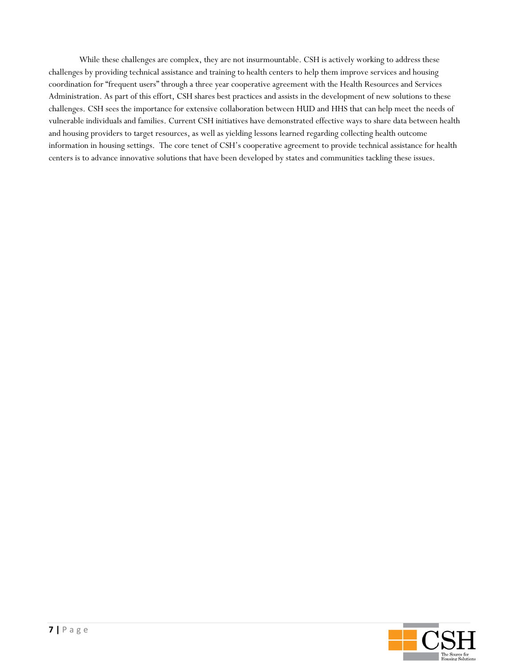While these challenges are complex, they are not insurmountable. CSH is actively working to address these challenges by providing technical assistance and training to health centers to help them improve services and housing coordination for "frequent users" through a three year cooperative agreement with the Health Resources and Services Administration. As part of this effort, CSH shares best practices and assists in the development of new solutions to these challenges. CSH sees the importance for extensive collaboration between HUD and HHS that can help meet the needs of vulnerable individuals and families. Current CSH initiatives have demonstrated effective ways to share data between health and housing providers to target resources, as well as yielding lessons learned regarding collecting health outcome information in housing settings. The core tenet of CSH's cooperative agreement to provide technical assistance for health centers is to advance innovative solutions that have been developed by states and communities tackling these issues.

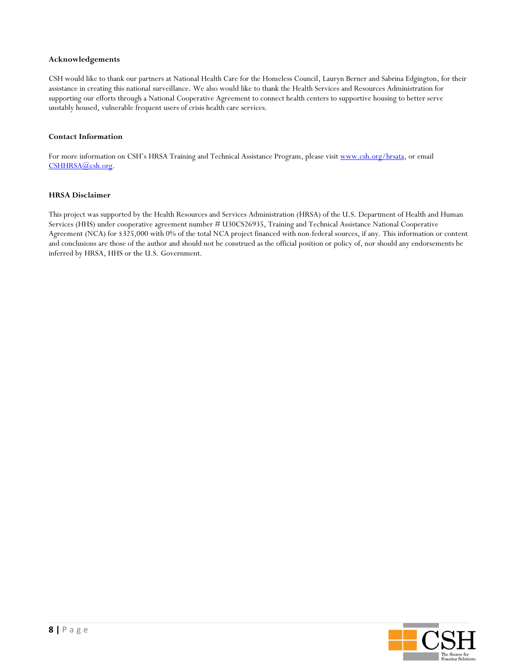#### **Acknowledgements**

CSH would like to thank our partners at National Health Care for the Homeless Council, Lauryn Berner and Sabrina Edgington, for their assistance in creating this national surveillance. We also would like to thank the Health Services and Resources Administration for supporting our efforts through a National Cooperative Agreement to connect health centers to supportive housing to better serve unstably housed, vulnerable frequent users of crisis health care services.

#### **Contact Information**

For more information on CSH's HRSA Training and Technical Assistance Program, please visi[t www.csh.org/hrsata,](http://www.csh.org/hrsata) or email [CSHHRSA@csh.org.](mailto:CSHHRSA@csh.org)

#### **HRSA Disclaimer**

This project was supported by the Health Resources and Services Administration (HRSA) of the U.S. Department of Health and Human Services (HHS) under cooperative agreement number # U30CS26935, Training and Technical Assistance National Cooperative Agreement (NCA) for \$325,000 with 0% of the total NCA project financed with non-federal sources, if any. This information or content and conclusions are those of the author and should not be construed as the official position or policy of, nor should any endorsements be inferred by HRSA, HHS or the U.S. Government.

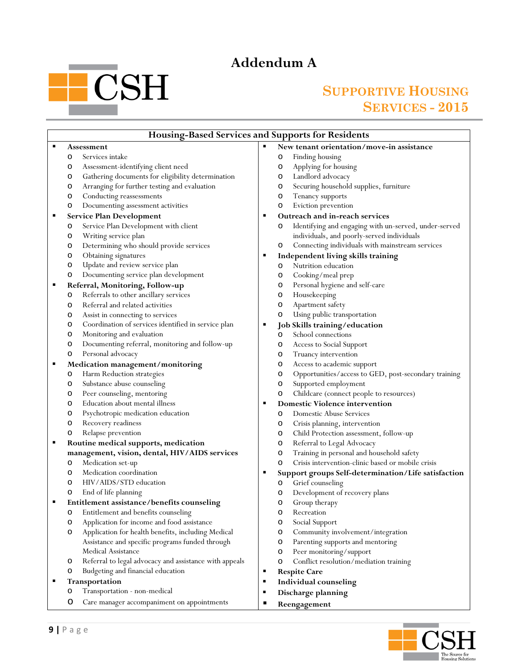# **Addendum A**

# **Contract Contract CSH**

# **SUPPORTIVE HOUSING SERVICES - 2015**

 $\overline{\mathbf{u}}$ 

| <b>Housing-Based Services and Supports for Residents</b> |                |                                                        |   |                                                            |
|----------------------------------------------------------|----------------|--------------------------------------------------------|---|------------------------------------------------------------|
| ٠                                                        |                | <b>Assessment</b>                                      |   | New tenant orientation/move-in assistance                  |
|                                                          | O              | Services intake                                        |   | Finding housing<br>$\circ$                                 |
|                                                          | O              | Assessment-identifying client need                     |   | Applying for housing<br>O                                  |
|                                                          | O              | Gathering documents for eligibility determination      |   | Landlord advocacy<br>O                                     |
|                                                          | $\circ$        | Arranging for further testing and evaluation           |   | Securing household supplies, furniture<br>$\circ$          |
|                                                          | O              | Conducting reassessments                               |   | Tenancy supports<br>O                                      |
|                                                          | O              | Documenting assessment activities                      |   | Eviction prevention<br>O                                   |
| п                                                        |                | Service Plan Development                               |   | Outreach and in-reach services                             |
|                                                          | O              | Service Plan Development with client                   |   | Identifying and engaging with un-served, under-served<br>O |
|                                                          | $\circ$        | Writing service plan                                   |   | individuals, and poorly-served individuals                 |
|                                                          | $\circ$        | Determining who should provide services                |   | Connecting individuals with mainstream services<br>$\circ$ |
|                                                          | $\circ$        | Obtaining signatures                                   |   | Independent living skills training                         |
|                                                          | $\circ$        | Update and review service plan                         |   | Nutrition education<br>O                                   |
|                                                          | O              | Documenting service plan development                   |   | Cooking/meal prep<br>O                                     |
| ٠                                                        |                | Referral, Monitoring, Follow-up                        |   | Personal hygiene and self-care<br>$\circ$                  |
|                                                          | O              | Referrals to other ancillary services                  |   | Housekeeping<br>O                                          |
|                                                          | O              | Referral and related activities                        |   | Apartment safety<br>O                                      |
|                                                          | O              | Assist in connecting to services                       |   | Using public transportation<br>O                           |
|                                                          | $\circ$        | Coordination of services identified in service plan    |   | Job Skills training/education                              |
|                                                          | $\circ$        | Monitoring and evaluation                              |   | School connections<br>$\circ$                              |
|                                                          | $\circ$        | Documenting referral, monitoring and follow-up         |   | Access to Social Support<br>O                              |
|                                                          | $\circ$        | Personal advocacy                                      |   | Truancy intervention<br>O                                  |
| п                                                        |                | Medication management/monitoring                       |   | Access to academic support<br>O                            |
|                                                          | $\circ$        | Harm Reduction strategies                              |   | Opportunities/access to GED, post-secondary training<br>O  |
|                                                          | O              | Substance abuse counseling                             |   | Supported employment<br>$\circ$                            |
|                                                          | $\circ$        | Peer counseling, mentoring                             |   | Childcare (connect people to resources)<br>O               |
|                                                          | $\circ$        | Education about mental illness                         | ш | <b>Domestic Violence intervention</b>                      |
|                                                          | O              | Psychotropic medication education                      |   | <b>Domestic Abuse Services</b><br>$\circ$                  |
|                                                          | O              | Recovery readiness                                     |   | Crisis planning, intervention<br>O                         |
|                                                          | $\circ$        | Relapse prevention                                     |   | Child Protection assessment, follow-up<br>O                |
| ٠                                                        |                | Routine medical supports, medication                   |   | Referral to Legal Advocacy<br>O                            |
|                                                          |                | management, vision, dental, HIV/AIDS services          |   | Training in personal and household safety<br>O             |
|                                                          | O              | Medication set-up                                      |   | Crisis intervention-clinic based or mobile crisis<br>O     |
|                                                          | $\circ$        | Medication coordination                                | п | Support groups Self-determination/Life satisfaction        |
|                                                          | O              | HIV/AIDS/STD education                                 |   | Grief counseling<br>O                                      |
|                                                          | O              | End of life planning                                   |   | Development of recovery plans<br>O                         |
| п                                                        |                | Entitlement assistance/benefits counseling             |   | Group therapy<br>O                                         |
|                                                          | O              | Entitlement and benefits counseling                    |   | $\circ$<br>Recreation                                      |
|                                                          | O              | Application for income and food assistance             |   | Social Support<br>O                                        |
|                                                          | $\circ$        | Application for health benefits, including Medical     |   | Community involvement/integration<br>O                     |
|                                                          |                | Assistance and specific programs funded through        |   | Parenting supports and mentoring<br>O                      |
|                                                          |                | Medical Assistance                                     |   | Peer monitoring/support<br>O                               |
|                                                          | $\circ$        | Referral to legal advocacy and assistance with appeals |   | Conflict resolution/mediation training<br>O                |
|                                                          | $\circ$        | Budgeting and financial education                      | ٠ | <b>Respite Care</b>                                        |
|                                                          | Transportation |                                                        | ٠ | Individual counseling                                      |
|                                                          | O              | Transportation - non-medical                           | ٠ |                                                            |
|                                                          |                |                                                        |   | Discharge planning                                         |
|                                                          | O              | Care manager accompaniment on appointments             |   | Reengagement                                               |